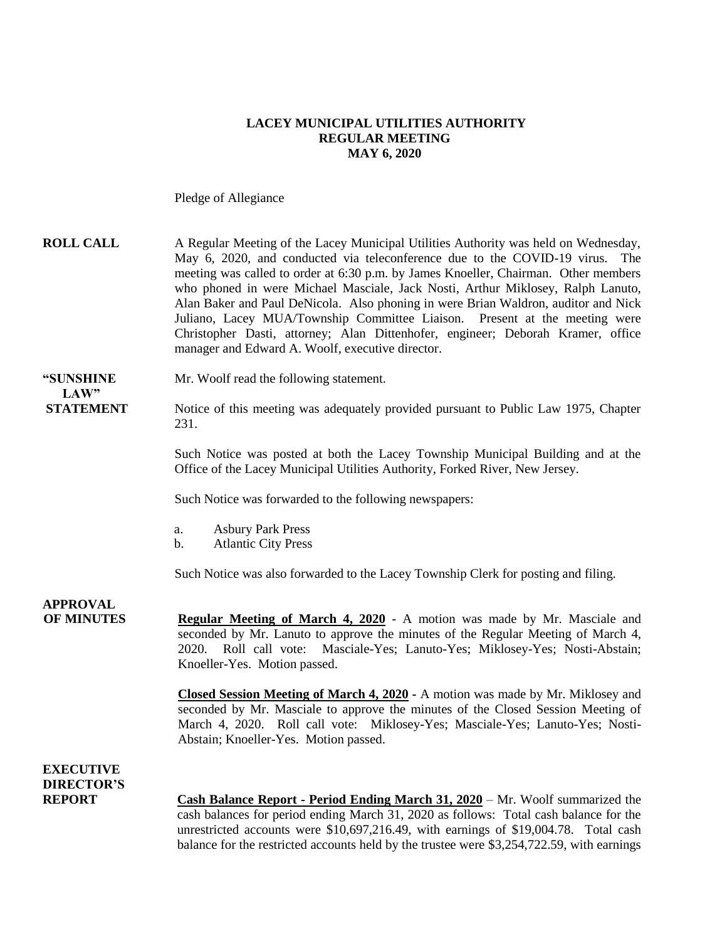#### **LACEY MUNICIPAL UTILITIES AUTHORITY REGULAR MEETING MAY 6, 2020**

Pledge of Allegiance

| <b>ROLL CALL</b>                                       | A Regular Meeting of the Lacey Municipal Utilities Authority was held on Wednesday,<br>May 6, 2020, and conducted via teleconference due to the COVID-19 virus.<br>The<br>meeting was called to order at 6:30 p.m. by James Knoeller, Chairman. Other members<br>who phoned in were Michael Masciale, Jack Nosti, Arthur Miklosey, Ralph Lanuto,<br>Alan Baker and Paul DeNicola. Also phoning in were Brian Waldron, auditor and Nick<br>Juliano, Lacey MUA/Township Committee Liaison. Present at the meeting were<br>Christopher Dasti, attorney; Alan Dittenhofer, engineer; Deborah Kramer, office<br>manager and Edward A. Woolf, executive director. |
|--------------------------------------------------------|-------------------------------------------------------------------------------------------------------------------------------------------------------------------------------------------------------------------------------------------------------------------------------------------------------------------------------------------------------------------------------------------------------------------------------------------------------------------------------------------------------------------------------------------------------------------------------------------------------------------------------------------------------------|
| "SUNSHINE                                              | Mr. Woolf read the following statement.                                                                                                                                                                                                                                                                                                                                                                                                                                                                                                                                                                                                                     |
| LAW"<br><b>STATEMENT</b>                               | Notice of this meeting was adequately provided pursuant to Public Law 1975, Chapter<br>231.                                                                                                                                                                                                                                                                                                                                                                                                                                                                                                                                                                 |
|                                                        | Such Notice was posted at both the Lacey Township Municipal Building and at the<br>Office of the Lacey Municipal Utilities Authority, Forked River, New Jersey.                                                                                                                                                                                                                                                                                                                                                                                                                                                                                             |
|                                                        | Such Notice was forwarded to the following newspapers:                                                                                                                                                                                                                                                                                                                                                                                                                                                                                                                                                                                                      |
|                                                        | <b>Asbury Park Press</b><br>a.<br><b>Atlantic City Press</b><br>$\mathbf b$ .                                                                                                                                                                                                                                                                                                                                                                                                                                                                                                                                                                               |
|                                                        | Such Notice was also forwarded to the Lacey Township Clerk for posting and filing.                                                                                                                                                                                                                                                                                                                                                                                                                                                                                                                                                                          |
| <b>APPROVAL</b><br><b>OF MINUTES</b>                   | <b>Regular Meeting of March 4, 2020</b> - A motion was made by Mr. Masciale and<br>seconded by Mr. Lanuto to approve the minutes of the Regular Meeting of March 4,<br>2020. Roll call vote: Masciale-Yes; Lanuto-Yes; Miklosey-Yes; Nosti-Abstain;<br>Knoeller-Yes. Motion passed.                                                                                                                                                                                                                                                                                                                                                                         |
|                                                        | Closed Session Meeting of March 4, 2020 - A motion was made by Mr. Miklosey and<br>seconded by Mr. Masciale to approve the minutes of the Closed Session Meeting of<br>March 4, 2020. Roll call vote: Miklosey-Yes; Masciale-Yes; Lanuto-Yes; Nosti-<br>Abstain; Knoeller-Yes. Motion passed.                                                                                                                                                                                                                                                                                                                                                               |
| <b>EXECUTIVE</b><br><b>DIRECTOR'S</b><br><b>REPORT</b> | Cash Balance Report - Period Ending March 31, 2020 - Mr. Woolf summarized the<br>cash balances for period ending March 31, 2020 as follows: Total cash balance for the                                                                                                                                                                                                                                                                                                                                                                                                                                                                                      |

cash balances for period ending March 31, 2020 as follows: Total cash balance for the unrestricted accounts were \$10,697,216.49, with earnings of \$19,004.78. Total cash balance for the restricted accounts held by the trustee were \$3,254,722.59, with earnings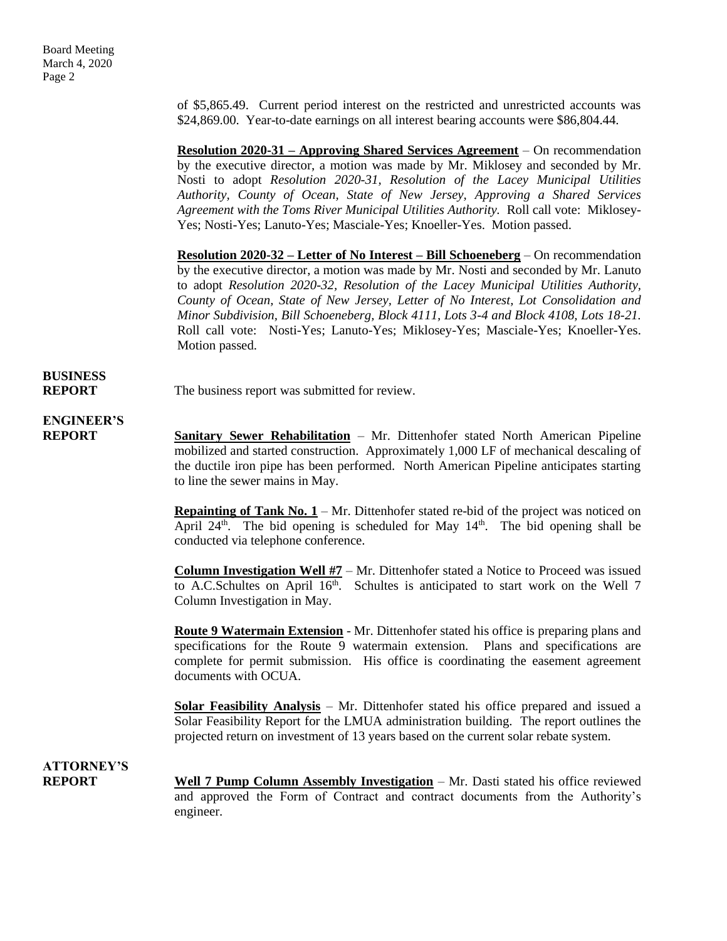of \$5,865.49. Current period interest on the restricted and unrestricted accounts was \$24,869.00. Year-to-date earnings on all interest bearing accounts were \$86,804.44.

**Resolution 2020-31 – Approving Shared Services Agreement** – On recommendation by the executive director, a motion was made by Mr. Miklosey and seconded by Mr. Nosti to adopt *Resolution 2020-31, Resolution of the Lacey Municipal Utilities Authority, County of Ocean, State of New Jersey, Approving a Shared Services Agreement with the Toms River Municipal Utilities Authority.* Roll call vote: Miklosey-Yes; Nosti-Yes; Lanuto-Yes; Masciale-Yes; Knoeller-Yes. Motion passed.

**Resolution 2020-32 – Letter of No Interest – Bill Schoeneberg** – On recommendation by the executive director, a motion was made by Mr. Nosti and seconded by Mr. Lanuto to adopt *Resolution 2020-32, Resolution of the Lacey Municipal Utilities Authority, County of Ocean, State of New Jersey, Letter of No Interest, Lot Consolidation and Minor Subdivision, Bill Schoeneberg, Block 4111, Lots 3-4 and Block 4108, Lots 18-21.*  Roll call vote: Nosti-Yes; Lanuto-Yes; Miklosey-Yes; Masciale-Yes; Knoeller-Yes. Motion passed.

# **BUSINESS**

**REPORT** The business report was submitted for review.

## **ENGINEER'S**

**REPORT Sanitary Sewer Rehabilitation** – Mr. Dittenhofer stated North American Pipeline mobilized and started construction. Approximately 1,000 LF of mechanical descaling of the ductile iron pipe has been performed. North American Pipeline anticipates starting to line the sewer mains in May.

> **Repainting of Tank No.**  $1 - Mr$ **. Dittenhofer stated re-bid of the project was noticed on** April 24<sup>th</sup>. The bid opening is scheduled for May  $14<sup>th</sup>$ . The bid opening shall be conducted via telephone conference.

> **Column Investigation Well #7** – Mr. Dittenhofer stated a Notice to Proceed was issued to A.C.Schultes on April  $16<sup>th</sup>$ . Schultes is anticipated to start work on the Well 7 Column Investigation in May.

> **Route 9 Watermain Extension** - Mr. Dittenhofer stated his office is preparing plans and specifications for the Route 9 watermain extension. Plans and specifications are complete for permit submission. His office is coordinating the easement agreement documents with OCUA.

> **Solar Feasibility Analysis** – Mr. Dittenhofer stated his office prepared and issued a Solar Feasibility Report for the LMUA administration building. The report outlines the projected return on investment of 13 years based on the current solar rebate system.

## **ATTORNEY'S**

**REPORT Well 7 Pump Column Assembly Investigation** – Mr. Dasti stated his office reviewed and approved the Form of Contract and contract documents from the Authority's engineer.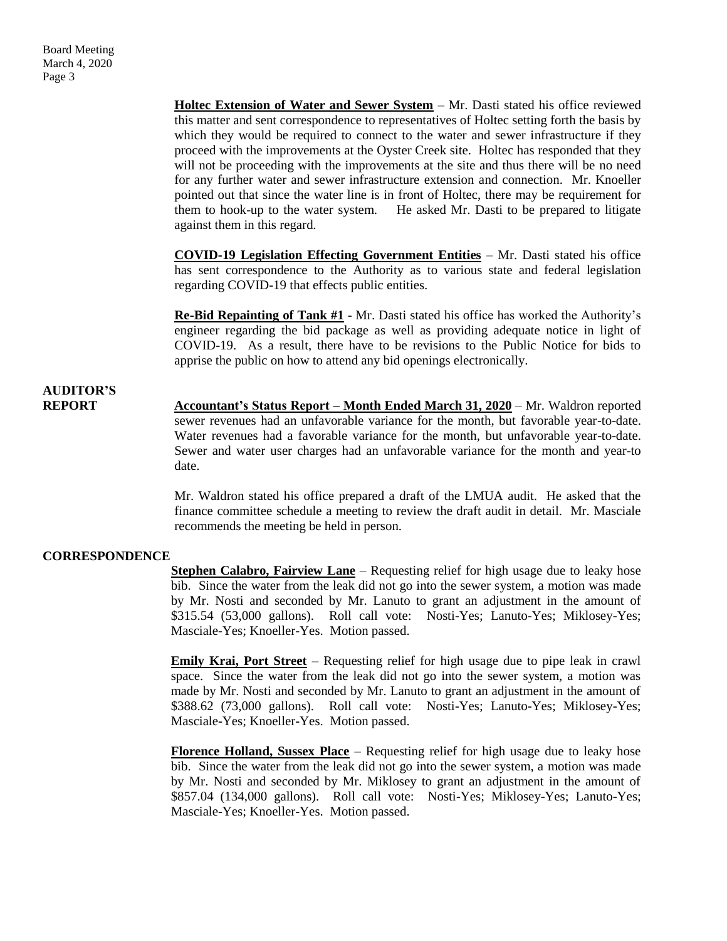**Holtec Extension of Water and Sewer System** – Mr. Dasti stated his office reviewed this matter and sent correspondence to representatives of Holtec setting forth the basis by which they would be required to connect to the water and sewer infrastructure if they proceed with the improvements at the Oyster Creek site. Holtec has responded that they will not be proceeding with the improvements at the site and thus there will be no need for any further water and sewer infrastructure extension and connection. Mr. Knoeller pointed out that since the water line is in front of Holtec, there may be requirement for them to hook-up to the water system. He asked Mr. Dasti to be prepared to litigate against them in this regard.

**COVID-19 Legislation Effecting Government Entities** – Mr. Dasti stated his office has sent correspondence to the Authority as to various state and federal legislation regarding COVID-19 that effects public entities.

**Re-Bid Repainting of Tank #1** - Mr. Dasti stated his office has worked the Authority's engineer regarding the bid package as well as providing adequate notice in light of COVID-19. As a result, there have to be revisions to the Public Notice for bids to apprise the public on how to attend any bid openings electronically.

## **AUDITOR'S**

**REPORT** Accountant's Status Report – Month Ended March 31, 2020 – Mr. Waldron reported sewer revenues had an unfavorable variance for the month, but favorable year-to-date. Water revenues had a favorable variance for the month, but unfavorable year-to-date. Sewer and water user charges had an unfavorable variance for the month and year-to date.

> Mr. Waldron stated his office prepared a draft of the LMUA audit. He asked that the finance committee schedule a meeting to review the draft audit in detail. Mr. Masciale recommends the meeting be held in person.

#### **CORRESPONDENCE**

**Stephen Calabro, Fairview Lane** – Requesting relief for high usage due to leaky hose bib. Since the water from the leak did not go into the sewer system, a motion was made by Mr. Nosti and seconded by Mr. Lanuto to grant an adjustment in the amount of \$315.54 (53,000 gallons). Roll call vote: Nosti-Yes; Lanuto-Yes; Miklosey-Yes; Masciale-Yes; Knoeller-Yes. Motion passed.

**Emily Krai, Port Street** – Requesting relief for high usage due to pipe leak in crawl space. Since the water from the leak did not go into the sewer system, a motion was made by Mr. Nosti and seconded by Mr. Lanuto to grant an adjustment in the amount of \$388.62 (73,000 gallons). Roll call vote: Nosti-Yes; Lanuto-Yes; Miklosey-Yes; Masciale-Yes; Knoeller-Yes. Motion passed.

**Florence Holland, Sussex Place** – Requesting relief for high usage due to leaky hose bib. Since the water from the leak did not go into the sewer system, a motion was made by Mr. Nosti and seconded by Mr. Miklosey to grant an adjustment in the amount of \$857.04 (134,000 gallons). Roll call vote: Nosti-Yes; Miklosey-Yes; Lanuto-Yes; Masciale-Yes; Knoeller-Yes. Motion passed.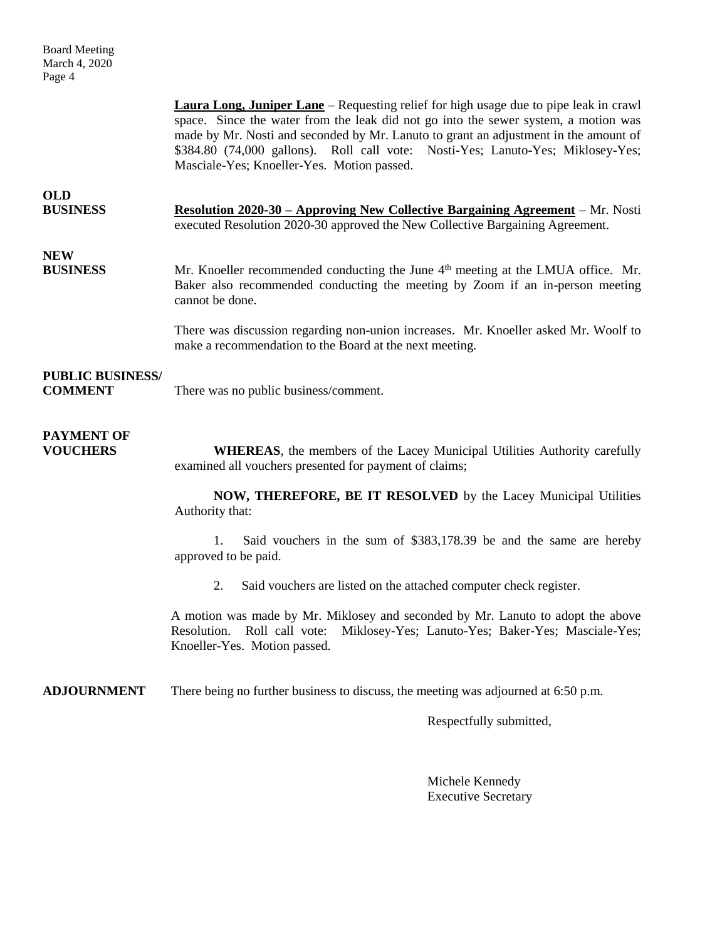Board Meeting March 4, 2020 Page 4

**Laura Long, Juniper Lane** – Requesting relief for high usage due to pipe leak in crawl space. Since the water from the leak did not go into the sewer system, a motion was made by Mr. Nosti and seconded by Mr. Lanuto to grant an adjustment in the amount of \$384.80 (74,000 gallons). Roll call vote: Nosti-Yes; Lanuto-Yes; Miklosey-Yes; Masciale-Yes; Knoeller-Yes. Motion passed. **OLD BUSINESS Resolution 2020-30 – Approving New Collective Bargaining Agreement** – Mr. Nosti executed Resolution 2020-30 approved the New Collective Bargaining Agreement. **NEW BUSINESS** Mr. Knoeller recommended conducting the June 4<sup>th</sup> meeting at the LMUA office. Mr. Baker also recommended conducting the meeting by Zoom if an in-person meeting cannot be done. There was discussion regarding non-union increases. Mr. Knoeller asked Mr. Woolf to make a recommendation to the Board at the next meeting. **PUBLIC BUSINESS/ COMMENT** There was no public business/comment. **PAYMENT OF VOUCHERS WHEREAS**, the members of the Lacey Municipal Utilities Authority carefully examined all vouchers presented for payment of claims; **NOW, THEREFORE, BE IT RESOLVED** by the Lacey Municipal Utilities Authority that: 1. Said vouchers in the sum of \$383,178.39 be and the same are hereby approved to be paid. 2. Said vouchers are listed on the attached computer check register. A motion was made by Mr. Miklosey and seconded by Mr. Lanuto to adopt the above Resolution. Roll call vote: Miklosey-Yes; Lanuto-Yes; Baker-Yes; Masciale-Yes; Knoeller-Yes. Motion passed. **ADJOURNMENT** There being no further business to discuss, the meeting was adjourned at 6:50 p.m.

Respectfully submitted,

Michele Kennedy Executive Secretary